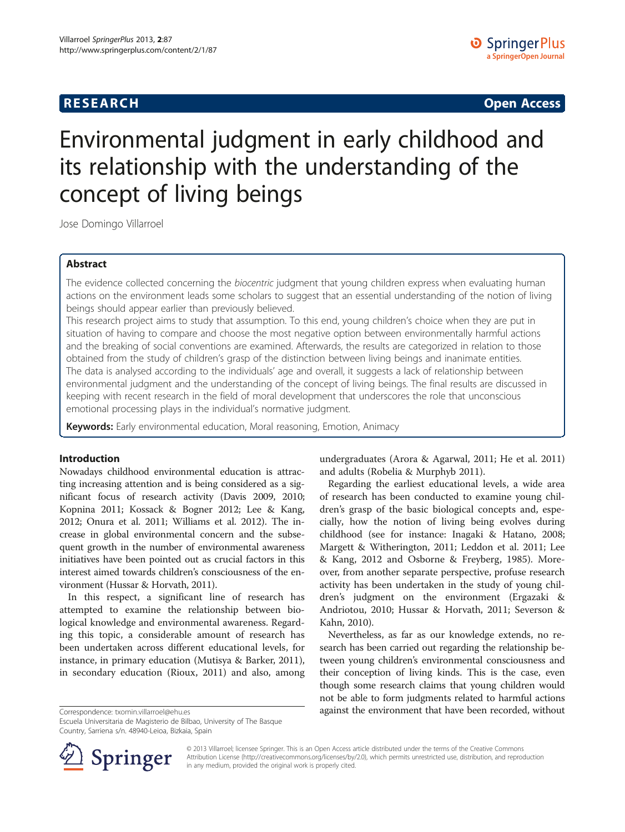## **RESEARCH CHINESE ARCH CHINESE ARCH CHINESE ARCH <b>CHINESE ARCH**

# Environmental judgment in early childhood and its relationship with the understanding of the concept of living beings

Jose Domingo Villarroel

## Abstract

The evidence collected concerning the biocentric judgment that young children express when evaluating human actions on the environment leads some scholars to suggest that an essential understanding of the notion of living beings should appear earlier than previously believed.

This research project aims to study that assumption. To this end, young children's choice when they are put in situation of having to compare and choose the most negative option between environmentally harmful actions and the breaking of social conventions are examined. Afterwards, the results are categorized in relation to those obtained from the study of children's grasp of the distinction between living beings and inanimate entities. The data is analysed according to the individuals' age and overall, it suggests a lack of relationship between environmental judgment and the understanding of the concept of living beings. The final results are discussed in keeping with recent research in the field of moral development that underscores the role that unconscious emotional processing plays in the individual's normative judgment.

Keywords: Early environmental education, Moral reasoning, Emotion, Animacy

### Introduction

Nowadays childhood environmental education is attracting increasing attention and is being considered as a significant focus of research activity (Davis [2009, 2010](#page-11-0); Kopnina [2011;](#page-11-0) Kossack & Bogner [2012](#page-11-0); Lee & Kang, [2012;](#page-11-0) Onura et al. [2011;](#page-11-0) Williams et al. [2012](#page-12-0)). The increase in global environmental concern and the subsequent growth in the number of environmental awareness initiatives have been pointed out as crucial factors in this interest aimed towards children's consciousness of the environment (Hussar & Horvath, [2011\)](#page-11-0).

In this respect, a significant line of research has attempted to examine the relationship between biological knowledge and environmental awareness. Regarding this topic, a considerable amount of research has been undertaken across different educational levels, for instance, in primary education (Mutisya & Barker, [2011](#page-11-0)), in secondary education (Rioux, [2011\)](#page-11-0) and also, among

Escuela Universitaria de Magisterio de Bilbao, University of The Basque Country, Sarriena s/n. 48940-Leioa, Bizkaia, Spain

undergraduates (Arora & Agarwal, [2011](#page-11-0); He et al. [2011](#page-11-0)) and adults (Robelia & Murphyb [2011](#page-11-0)).

Regarding the earliest educational levels, a wide area of research has been conducted to examine young children's grasp of the basic biological concepts and, especially, how the notion of living being evolves during childhood (see for instance: Inagaki & Hatano, [2008](#page-11-0); Margett & Witherington, [2011](#page-11-0); Leddon et al. [2011](#page-11-0); Lee & Kang, [2012](#page-11-0) and Osborne & Freyberg, [1985\)](#page-11-0). Moreover, from another separate perspective, profuse research activity has been undertaken in the study of young children's judgment on the environment (Ergazaki & Andriotou, [2010](#page-11-0); Hussar & Horvath, [2011](#page-11-0); Severson & Kahn, [2010](#page-12-0)).

Nevertheless, as far as our knowledge extends, no research has been carried out regarding the relationship between young children's environmental consciousness and their conception of living kinds. This is the case, even though some research claims that young children would not be able to form judgments related to harmful actions Correspondence: [txomin.villarroel@ehu.es](mailto:txomin.villarroel@ehu.es) **against the environment that have been recorded, without** creation against the environment that have been recorded, without



© 2013 Villarroel; licensee Springer. This is an Open Access article distributed under the terms of the Creative Commons Attribution License [\(http://creativecommons.org/licenses/by/2.0\)](http://creativecommons.org/licenses/by/2.0), which permits unrestricted use, distribution, and reproduction in any medium, provided the original work is properly cited.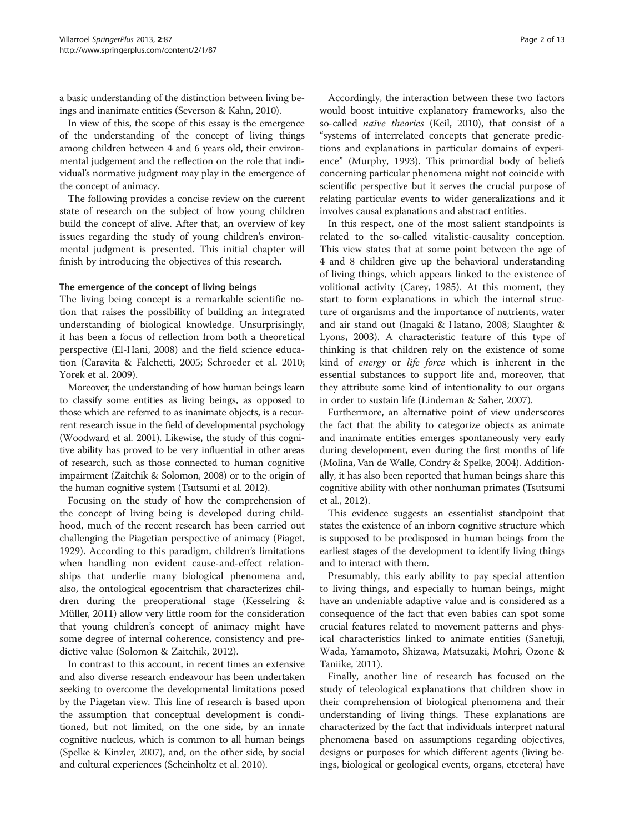a basic understanding of the distinction between living beings and inanimate entities (Severson & Kahn, [2010](#page-12-0)).

In view of this, the scope of this essay is the emergence of the understanding of the concept of living things among children between 4 and 6 years old, their environmental judgement and the reflection on the role that individual's normative judgment may play in the emergence of the concept of animacy.

The following provides a concise review on the current state of research on the subject of how young children build the concept of alive. After that, an overview of key issues regarding the study of young children's environmental judgment is presented. This initial chapter will finish by introducing the objectives of this research.

#### The emergence of the concept of living beings

The living being concept is a remarkable scientific notion that raises the possibility of building an integrated understanding of biological knowledge. Unsurprisingly, it has been a focus of reflection from both a theoretical perspective (El-Hani, [2008\)](#page-11-0) and the field science education (Caravita & Falchetti, [2005](#page-11-0); Schroeder et al. [2010](#page-12-0); Yorek et al. [2009](#page-12-0)).

Moreover, the understanding of how human beings learn to classify some entities as living beings, as opposed to those which are referred to as inanimate objects, is a recurrent research issue in the field of developmental psychology (Woodward et al. [2001](#page-12-0)). Likewise, the study of this cognitive ability has proved to be very influential in other areas of research, such as those connected to human cognitive impairment (Zaitchik & Solomon, [2008](#page-12-0)) or to the origin of the human cognitive system (Tsutsumi et al. [2012](#page-12-0)).

Focusing on the study of how the comprehension of the concept of living being is developed during childhood, much of the recent research has been carried out challenging the Piagetian perspective of animacy (Piaget, [1929](#page-11-0)). According to this paradigm, children's limitations when handling non evident cause-and-effect relationships that underlie many biological phenomena and, also, the ontological egocentrism that characterizes children during the preoperational stage (Kesselring & Müller, [2011](#page-11-0)) allow very little room for the consideration that young children's concept of animacy might have some degree of internal coherence, consistency and predictive value (Solomon & Zaitchik, [2012\)](#page-12-0).

In contrast to this account, in recent times an extensive and also diverse research endeavour has been undertaken seeking to overcome the developmental limitations posed by the Piagetan view. This line of research is based upon the assumption that conceptual development is conditioned, but not limited, on the one side, by an innate cognitive nucleus, which is common to all human beings (Spelke & Kinzler, [2007](#page-12-0)), and, on the other side, by social and cultural experiences (Scheinholtz et al. [2010\)](#page-12-0).

Accordingly, the interaction between these two factors would boost intuitive explanatory frameworks, also the so-called naïve theories (Keil, [2010\)](#page-11-0), that consist of a "systems of interrelated concepts that generate predictions and explanations in particular domains of experience" (Murphy, [1993](#page-11-0)). This primordial body of beliefs concerning particular phenomena might not coincide with scientific perspective but it serves the crucial purpose of relating particular events to wider generalizations and it involves causal explanations and abstract entities.

In this respect, one of the most salient standpoints is related to the so-called vitalistic-causality conception. This view states that at some point between the age of 4 and 8 children give up the behavioral understanding of living things, which appears linked to the existence of volitional activity (Carey, [1985\)](#page-11-0). At this moment, they start to form explanations in which the internal structure of organisms and the importance of nutrients, water and air stand out (Inagaki & Hatano, [2008](#page-11-0); Slaughter & Lyons, [2003\)](#page-12-0). A characteristic feature of this type of thinking is that children rely on the existence of some kind of energy or life force which is inherent in the essential substances to support life and, moreover, that they attribute some kind of intentionality to our organs in order to sustain life (Lindeman & Saher, [2007\)](#page-11-0).

Furthermore, an alternative point of view underscores the fact that the ability to categorize objects as animate and inanimate entities emerges spontaneously very early during development, even during the first months of life (Molina, Van de Walle, Condry & Spelke, [2004\)](#page-11-0). Additionally, it has also been reported that human beings share this cognitive ability with other nonhuman primates (Tsutsumi et al., [2012\)](#page-12-0).

This evidence suggests an essentialist standpoint that states the existence of an inborn cognitive structure which is supposed to be predisposed in human beings from the earliest stages of the development to identify living things and to interact with them.

Presumably, this early ability to pay special attention to living things, and especially to human beings, might have an undeniable adaptive value and is considered as a consequence of the fact that even babies can spot some crucial features related to movement patterns and physical characteristics linked to animate entities (Sanefuji, Wada, Yamamoto, Shizawa, Matsuzaki, Mohri, Ozone & Taniike, [2011](#page-11-0)).

Finally, another line of research has focused on the study of teleological explanations that children show in their comprehension of biological phenomena and their understanding of living things. These explanations are characterized by the fact that individuals interpret natural phenomena based on assumptions regarding objectives, designs or purposes for which different agents (living beings, biological or geological events, organs, etcetera) have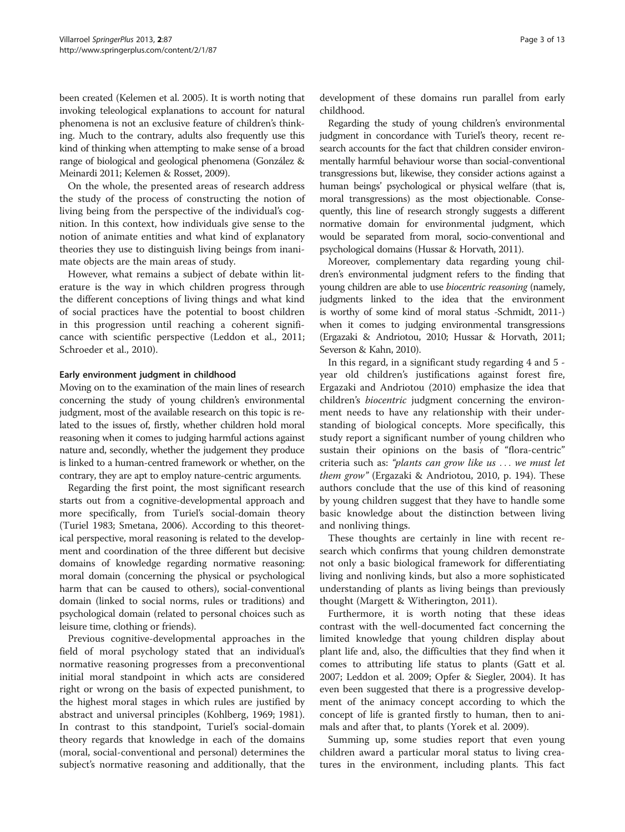been created (Kelemen et al. [2005](#page-11-0)). It is worth noting that invoking teleological explanations to account for natural phenomena is not an exclusive feature of children's thinking. Much to the contrary, adults also frequently use this kind of thinking when attempting to make sense of a broad range of biological and geological phenomena (González & Meinardi [2011;](#page-11-0) Kelemen & Rosset, [2009](#page-11-0)).

On the whole, the presented areas of research address the study of the process of constructing the notion of living being from the perspective of the individual's cognition. In this context, how individuals give sense to the notion of animate entities and what kind of explanatory theories they use to distinguish living beings from inanimate objects are the main areas of study.

However, what remains a subject of debate within literature is the way in which children progress through the different conceptions of living things and what kind of social practices have the potential to boost children in this progression until reaching a coherent significance with scientific perspective (Leddon et al., [2011](#page-11-0); Schroeder et al., [2010](#page-12-0)).

#### Early environment judgment in childhood

Moving on to the examination of the main lines of research concerning the study of young children's environmental judgment, most of the available research on this topic is related to the issues of, firstly, whether children hold moral reasoning when it comes to judging harmful actions against nature and, secondly, whether the judgement they produce is linked to a human-centred framework or whether, on the contrary, they are apt to employ nature-centric arguments.

Regarding the first point, the most significant research starts out from a cognitive-developmental approach and more specifically, from Turiel's social-domain theory (Turiel [1983;](#page-12-0) Smetana, [2006](#page-12-0)). According to this theoretical perspective, moral reasoning is related to the development and coordination of the three different but decisive domains of knowledge regarding normative reasoning: moral domain (concerning the physical or psychological harm that can be caused to others), social-conventional domain (linked to social norms, rules or traditions) and psychological domain (related to personal choices such as leisure time, clothing or friends).

Previous cognitive-developmental approaches in the field of moral psychology stated that an individual's normative reasoning progresses from a preconventional initial moral standpoint in which acts are considered right or wrong on the basis of expected punishment, to the highest moral stages in which rules are justified by abstract and universal principles (Kohlberg, [1969; 1981](#page-11-0)). In contrast to this standpoint, Turiel's social-domain theory regards that knowledge in each of the domains (moral, social-conventional and personal) determines the subject's normative reasoning and additionally, that the

development of these domains run parallel from early childhood.

Regarding the study of young children's environmental judgment in concordance with Turiel's theory, recent research accounts for the fact that children consider environmentally harmful behaviour worse than social-conventional transgressions but, likewise, they consider actions against a human beings' psychological or physical welfare (that is, moral transgressions) as the most objectionable. Consequently, this line of research strongly suggests a different normative domain for environmental judgment, which would be separated from moral, socio-conventional and psychological domains (Hussar & Horvath, [2011](#page-11-0)).

Moreover, complementary data regarding young children's environmental judgment refers to the finding that young children are able to use biocentric reasoning (namely, judgments linked to the idea that the environment is worthy of some kind of moral status -Schmidt, [2011](#page-12-0)-) when it comes to judging environmental transgressions (Ergazaki & Andriotou, [2010](#page-11-0); Hussar & Horvath, [2011](#page-11-0); Severson & Kahn, [2010](#page-12-0)).

In this regard, in a significant study regarding 4 and 5 year old children's justifications against forest fire, Ergazaki and Andriotou ([2010](#page-11-0)) emphasize the idea that children's biocentric judgment concerning the environment needs to have any relationship with their understanding of biological concepts. More specifically, this study report a significant number of young children who sustain their opinions on the basis of "flora-centric" criteria such as: "plants can grow like us ... we must let them grow" (Ergazaki & Andriotou, [2010](#page-11-0), p. 194). These authors conclude that the use of this kind of reasoning by young children suggest that they have to handle some basic knowledge about the distinction between living and nonliving things.

These thoughts are certainly in line with recent research which confirms that young children demonstrate not only a basic biological framework for differentiating living and nonliving kinds, but also a more sophisticated understanding of plants as living beings than previously thought (Margett & Witherington, [2011\)](#page-11-0).

Furthermore, it is worth noting that these ideas contrast with the well-documented fact concerning the limited knowledge that young children display about plant life and, also, the difficulties that they find when it comes to attributing life status to plants (Gatt et al. [2007](#page-11-0); Leddon et al. [2009;](#page-11-0) Opfer & Siegler, [2004\)](#page-11-0). It has even been suggested that there is a progressive development of the animacy concept according to which the concept of life is granted firstly to human, then to animals and after that, to plants (Yorek et al. [2009\)](#page-12-0).

Summing up, some studies report that even young children award a particular moral status to living creatures in the environment, including plants. This fact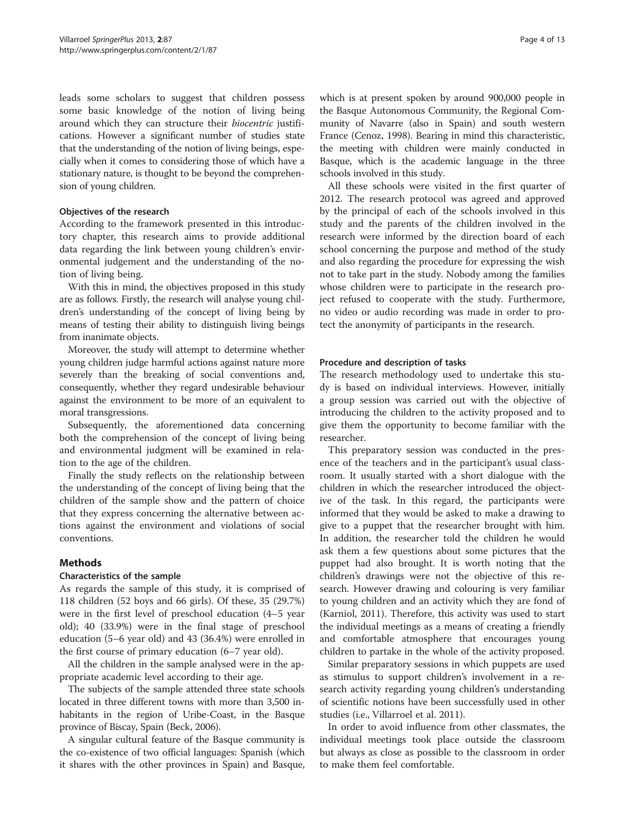leads some scholars to suggest that children possess some basic knowledge of the notion of living being around which they can structure their biocentric justifications. However a significant number of studies state that the understanding of the notion of living beings, especially when it comes to considering those of which have a stationary nature, is thought to be beyond the comprehension of young children.

#### Objectives of the research

According to the framework presented in this introductory chapter, this research aims to provide additional data regarding the link between young children's environmental judgement and the understanding of the notion of living being.

With this in mind, the objectives proposed in this study are as follows. Firstly, the research will analyse young children's understanding of the concept of living being by means of testing their ability to distinguish living beings from inanimate objects.

Moreover, the study will attempt to determine whether young children judge harmful actions against nature more severely than the breaking of social conventions and, consequently, whether they regard undesirable behaviour against the environment to be more of an equivalent to moral transgressions.

Subsequently, the aforementioned data concerning both the comprehension of the concept of living being and environmental judgment will be examined in relation to the age of the children.

Finally the study reflects on the relationship between the understanding of the concept of living being that the children of the sample show and the pattern of choice that they express concerning the alternative between actions against the environment and violations of social conventions.

## Methods

### Characteristics of the sample

As regards the sample of this study, it is comprised of 118 children (52 boys and 66 girls). Of these, 35 (29.7%) were in the first level of preschool education (4–5 year old); 40 (33.9%) were in the final stage of preschool education (5–6 year old) and 43 (36.4%) were enrolled in the first course of primary education (6–7 year old).

All the children in the sample analysed were in the appropriate academic level according to their age.

The subjects of the sample attended three state schools located in three different towns with more than 3,500 inhabitants in the region of Uribe-Coast, in the Basque province of Biscay, Spain (Beck, [2006](#page-11-0)).

A singular cultural feature of the Basque community is the co-existence of two official languages: Spanish (which it shares with the other provinces in Spain) and Basque, which is at present spoken by around 900,000 people in the Basque Autonomous Community, the Regional Community of Navarre (also in Spain) and south western France (Cenoz, [1998](#page-11-0)). Bearing in mind this characteristic, the meeting with children were mainly conducted in Basque, which is the academic language in the three schools involved in this study.

All these schools were visited in the first quarter of 2012. The research protocol was agreed and approved by the principal of each of the schools involved in this study and the parents of the children involved in the research were informed by the direction board of each school concerning the purpose and method of the study and also regarding the procedure for expressing the wish not to take part in the study. Nobody among the families whose children were to participate in the research project refused to cooperate with the study. Furthermore, no video or audio recording was made in order to protect the anonymity of participants in the research.

#### Procedure and description of tasks

The research methodology used to undertake this study is based on individual interviews. However, initially a group session was carried out with the objective of introducing the children to the activity proposed and to give them the opportunity to become familiar with the researcher.

This preparatory session was conducted in the presence of the teachers and in the participant's usual classroom. It usually started with a short dialogue with the children in which the researcher introduced the objective of the task. In this regard, the participants were informed that they would be asked to make a drawing to give to a puppet that the researcher brought with him. In addition, the researcher told the children he would ask them a few questions about some pictures that the puppet had also brought. It is worth noting that the children's drawings were not the objective of this research. However drawing and colouring is very familiar to young children and an activity which they are fond of (Karniol, [2011](#page-11-0)). Therefore, this activity was used to start the individual meetings as a means of creating a friendly and comfortable atmosphere that encourages young children to partake in the whole of the activity proposed.

Similar preparatory sessions in which puppets are used as stimulus to support children's involvement in a research activity regarding young children's understanding of scientific notions have been successfully used in other studies (i.e., Villarroel et al. [2011](#page-12-0)).

In order to avoid influence from other classmates, the individual meetings took place outside the classroom but always as close as possible to the classroom in order to make them feel comfortable.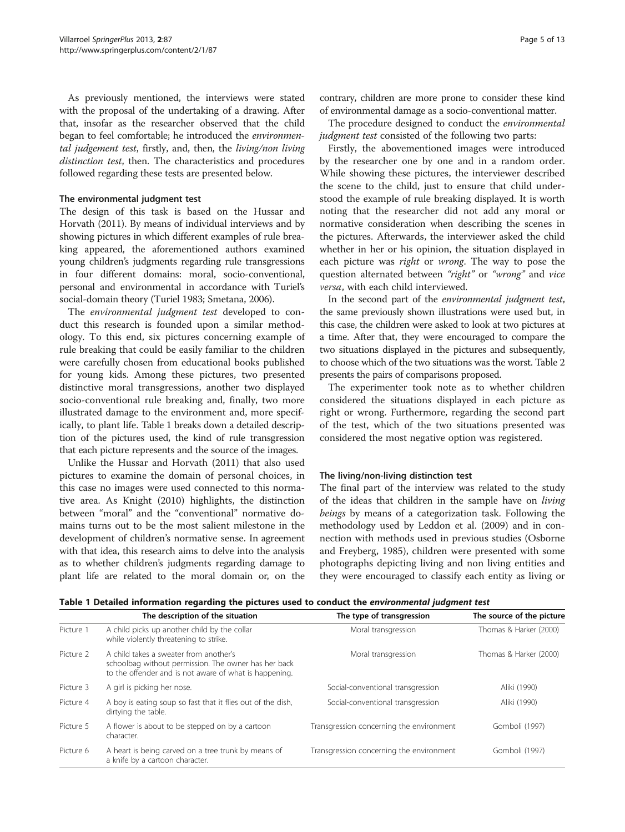<span id="page-4-0"></span>As previously mentioned, the interviews were stated with the proposal of the undertaking of a drawing. After that, insofar as the researcher observed that the child began to feel comfortable; he introduced the environmental judgement test, firstly, and, then, the living/non living distinction test, then. The characteristics and procedures followed regarding these tests are presented below.

#### The environmental judgment test

The design of this task is based on the Hussar and Horvath [\(2011\)](#page-11-0). By means of individual interviews and by showing pictures in which different examples of rule breaking appeared, the aforementioned authors examined young children's judgments regarding rule transgressions in four different domains: moral, socio-conventional, personal and environmental in accordance with Turiel's social-domain theory (Turiel [1983](#page-12-0); Smetana, [2006](#page-12-0)).

The environmental judgment test developed to conduct this research is founded upon a similar methodology. To this end, six pictures concerning example of rule breaking that could be easily familiar to the children were carefully chosen from educational books published for young kids. Among these pictures, two presented distinctive moral transgressions, another two displayed socio-conventional rule breaking and, finally, two more illustrated damage to the environment and, more specifically, to plant life. Table 1 breaks down a detailed description of the pictures used, the kind of rule transgression that each picture represents and the source of the images.

Unlike the Hussar and Horvath [\(2011\)](#page-11-0) that also used pictures to examine the domain of personal choices, in this case no images were used connected to this normative area. As Knight [\(2010\)](#page-11-0) highlights, the distinction between "moral" and the "conventional" normative domains turns out to be the most salient milestone in the development of children's normative sense. In agreement with that idea, this research aims to delve into the analysis as to whether children's judgments regarding damage to plant life are related to the moral domain or, on the

contrary, children are more prone to consider these kind of environmental damage as a socio-conventional matter.

The procedure designed to conduct the environmental judgment test consisted of the following two parts:

Firstly, the abovementioned images were introduced by the researcher one by one and in a random order. While showing these pictures, the interviewer described the scene to the child, just to ensure that child understood the example of rule breaking displayed. It is worth noting that the researcher did not add any moral or normative consideration when describing the scenes in the pictures. Afterwards, the interviewer asked the child whether in her or his opinion, the situation displayed in each picture was right or wrong. The way to pose the question alternated between "right" or "wrong" and vice versa, with each child interviewed.

In the second part of the environmental judgment test, the same previously shown illustrations were used but, in this case, the children were asked to look at two pictures at a time. After that, they were encouraged to compare the two situations displayed in the pictures and subsequently, to choose which of the two situations was the worst. Table [2](#page-5-0) presents the pairs of comparisons proposed.

The experimenter took note as to whether children considered the situations displayed in each picture as right or wrong. Furthermore, regarding the second part of the test, which of the two situations presented was considered the most negative option was registered.

### The living/non-living distinction test

The final part of the interview was related to the study of the ideas that children in the sample have on living beings by means of a categorization task. Following the methodology used by Leddon et al. ([2009](#page-11-0)) and in connection with methods used in previous studies (Osborne and Freyberg, [1985](#page-11-0)), children were presented with some photographs depicting living and non living entities and they were encouraged to classify each entity as living or

| Table 1 Detailed information regarding the pictures used to conduct the environmental judgment test |
|-----------------------------------------------------------------------------------------------------|
|-----------------------------------------------------------------------------------------------------|

|           | The description of the situation                                                                                                                         | The type of transgression                | The source of the picture |
|-----------|----------------------------------------------------------------------------------------------------------------------------------------------------------|------------------------------------------|---------------------------|
| Picture 1 | A child picks up another child by the collar<br>while violently threatening to strike.                                                                   | Moral transgression                      | Thomas & Harker (2000)    |
| Picture 2 | A child takes a sweater from another's<br>schoolbag without permission. The owner has her back<br>to the offender and is not aware of what is happening. | Moral transgression                      | Thomas & Harker (2000)    |
| Picture 3 | A girl is picking her nose.                                                                                                                              | Social-conventional transgression        | Aliki (1990)              |
| Picture 4 | A boy is eating soup so fast that it flies out of the dish,<br>dirtying the table.                                                                       | Social-conventional transgression        | Aliki (1990)              |
| Picture 5 | A flower is about to be stepped on by a cartoon<br>character.                                                                                            | Transgression concerning the environment | Gomboli (1997)            |
| Picture 6 | A heart is being carved on a tree trunk by means of<br>a knife by a cartoon character.                                                                   | Transgression concerning the environment | Gomboli (1997)            |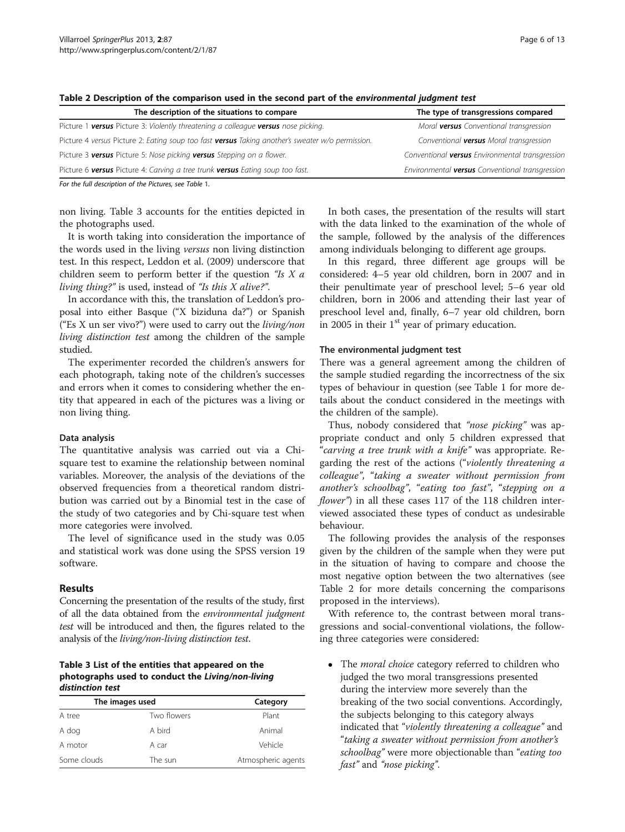| The description of the situations to compare                                                            | The type of transgressions compared                    |
|---------------------------------------------------------------------------------------------------------|--------------------------------------------------------|
| Picture 1 versus Picture 3: Violently threatening a colleague versus nose picking.                      | Moral <b>versus</b> Conventional transgression         |
| Picture 4 versus Picture 2: Eating soup too fast <b>versus</b> Taking another's sweater w/o permission. | Conventional versus Moral transgression                |
| Picture 3 versus Picture 5: Nose picking versus Stepping on a flower.                                   | Conventional <b>versus</b> Environmental transgression |
| Picture 6 versus Picture 4: Carving a tree trunk versus Eating soup too fast.                           | Environmental versus Conventional transgression        |

<span id="page-5-0"></span>Table 2 Description of the comparison used in the second part of the environmental judgment test

For the full description of the Pictures, see Table [1](#page-4-0).

non living. Table 3 accounts for the entities depicted in the photographs used.

It is worth taking into consideration the importance of the words used in the living versus non living distinction test. In this respect, Leddon et al. [\(2009\)](#page-11-0) underscore that children seem to perform better if the question "Is X a living thing?" is used, instead of "Is this X alive?".

In accordance with this, the translation of Leddon's proposal into either Basque ("X biziduna da?") or Spanish ("Es X un ser vivo?") were used to carry out the living/non living distinction test among the children of the sample studied.

The experimenter recorded the children's answers for each photograph, taking note of the children's successes and errors when it comes to considering whether the entity that appeared in each of the pictures was a living or non living thing.

#### Data analysis

The quantitative analysis was carried out via a Chisquare test to examine the relationship between nominal variables. Moreover, the analysis of the deviations of the observed frequencies from a theoretical random distribution was carried out by a Binomial test in the case of the study of two categories and by Chi-square test when more categories were involved.

The level of significance used in the study was 0.05 and statistical work was done using the SPSS version 19 software.

### Results

Concerning the presentation of the results of the study, first of all the data obtained from the environmental judgment test will be introduced and then, the figures related to the analysis of the living/non-living distinction test.

Table 3 List of the entities that appeared on the photographs used to conduct the Living/non-living distinction test

| The images used |             | Category           |  |
|-----------------|-------------|--------------------|--|
| A tree          | Two flowers | Plant              |  |
| A dog           | A bird      | Animal             |  |
| A motor         | A car       | Vehicle            |  |
| Some clouds     | The sun     | Atmospheric agents |  |

In both cases, the presentation of the results will start with the data linked to the examination of the whole of the sample, followed by the analysis of the differences among individuals belonging to different age groups.

In this regard, three different age groups will be considered: 4–5 year old children, born in 2007 and in their penultimate year of preschool level; 5–6 year old children, born in 2006 and attending their last year of preschool level and, finally, 6–7 year old children, born in 2005 in their  $1<sup>st</sup>$  year of primary education.

#### The environmental judgment test

There was a general agreement among the children of the sample studied regarding the incorrectness of the six types of behaviour in question (see Table [1](#page-4-0) for more details about the conduct considered in the meetings with the children of the sample).

Thus, nobody considered that "nose picking" was appropriate conduct and only 5 children expressed that "carving a tree trunk with a knife" was appropriate. Regarding the rest of the actions ("violently threatening a colleague", "taking a sweater without permission from another's schoolbag", "eating too fast", "stepping on a flower") in all these cases 117 of the 118 children interviewed associated these types of conduct as undesirable behaviour.

The following provides the analysis of the responses given by the children of the sample when they were put in the situation of having to compare and choose the most negative option between the two alternatives (see Table 2 for more details concerning the comparisons proposed in the interviews).

With reference to, the contrast between moral transgressions and social-conventional violations, the following three categories were considered:

• The *moral choice* category referred to children who judged the two moral transgressions presented during the interview more severely than the breaking of the two social conventions. Accordingly, the subjects belonging to this category always indicated that "violently threatening a colleague" and "taking a sweater without permission from another's schoolbag" were more objectionable than "eating too fast" and "nose picking".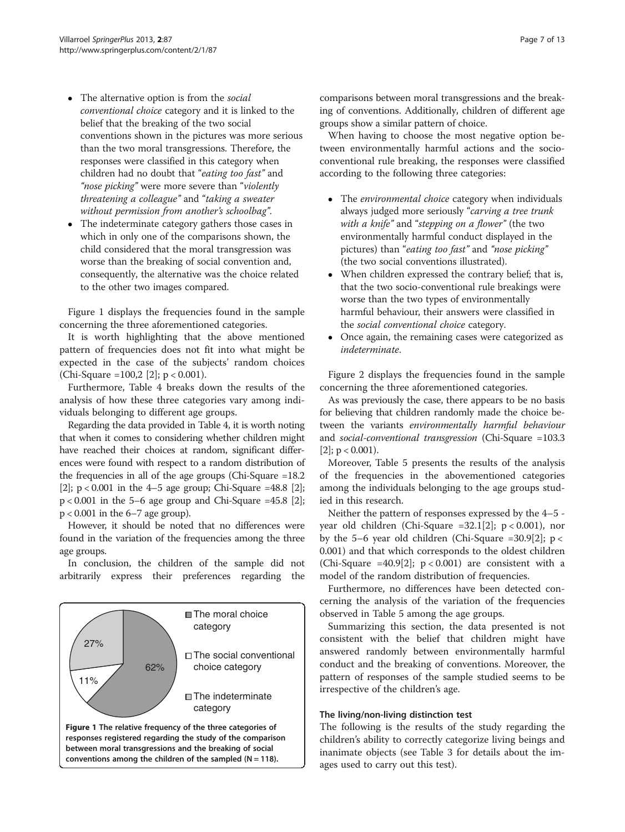- The alternative option is from the *social* conventional choice category and it is linked to the belief that the breaking of the two social conventions shown in the pictures was more serious than the two moral transgressions. Therefore, the responses were classified in this category when children had no doubt that "eating too fast" and "nose picking" were more severe than "violently threatening a colleague" and "taking a sweater without permission from another's schoolbag".
- The indeterminate category gathers those cases in which in only one of the comparisons shown, the child considered that the moral transgression was worse than the breaking of social convention and, consequently, the alternative was the choice related to the other two images compared.

Figure 1 displays the frequencies found in the sample concerning the three aforementioned categories.

It is worth highlighting that the above mentioned pattern of frequencies does not fit into what might be expected in the case of the subjects' random choices (Chi-Square =100,2 [2]; p < 0.001).

Furthermore, Table [4](#page-7-0) breaks down the results of the analysis of how these three categories vary among individuals belonging to different age groups.

Regarding the data provided in Table [4,](#page-7-0) it is worth noting that when it comes to considering whether children might have reached their choices at random, significant differences were found with respect to a random distribution of the frequencies in all of the age groups (Chi-Square =18.2 [2];  $p < 0.001$  in the 4–5 age group; Chi-Square =48.8 [2];  $p < 0.001$  in the 5–6 age group and Chi-Square =45.8 [2];  $p < 0.001$  in the 6–7 age group).

However, it should be noted that no differences were found in the variation of the frequencies among the three age groups.

In conclusion, the children of the sample did not arbitrarily express their preferences regarding the



comparisons between moral transgressions and the breaking of conventions. Additionally, children of different age groups show a similar pattern of choice.

When having to choose the most negative option between environmentally harmful actions and the socioconventional rule breaking, the responses were classified according to the following three categories:

- The environmental choice category when individuals always judged more seriously "carving a tree trunk with a knife" and "stepping on a flower" (the two environmentally harmful conduct displayed in the pictures) than "eating too fast" and "nose picking" (the two social conventions illustrated).
- When children expressed the contrary belief; that is, that the two socio-conventional rule breakings were worse than the two types of environmentally harmful behaviour, their answers were classified in the social conventional choice category.
- Once again, the remaining cases were categorized as indeterminate.

Figure [2](#page-7-0) displays the frequencies found in the sample concerning the three aforementioned categories.

As was previously the case, there appears to be no basis for believing that children randomly made the choice between the variants environmentally harmful behaviour and social-conventional transgression (Chi-Square =103.3  $[2]$ ; p < 0.001).

Moreover, Table [5](#page-8-0) presents the results of the analysis of the frequencies in the abovementioned categories among the individuals belonging to the age groups studied in this research.

Neither the pattern of responses expressed by the 4–5 year old children (Chi-Square =32.1[2];  $p < 0.001$ ), nor by the 5–6 year old children (Chi-Square =30.9[2];  $p <$ 0.001) and that which corresponds to the oldest children (Chi-Square =40.9[2];  $p < 0.001$ ) are consistent with a model of the random distribution of frequencies.

Furthermore, no differences have been detected concerning the analysis of the variation of the frequencies observed in Table [5](#page-8-0) among the age groups.

Summarizing this section, the data presented is not consistent with the belief that children might have answered randomly between environmentally harmful conduct and the breaking of conventions. Moreover, the pattern of responses of the sample studied seems to be irrespective of the children's age.

#### The living/non-living distinction test

The following is the results of the study regarding the children's ability to correctly categorize living beings and inanimate objects (see Table [3](#page-5-0) for details about the images used to carry out this test).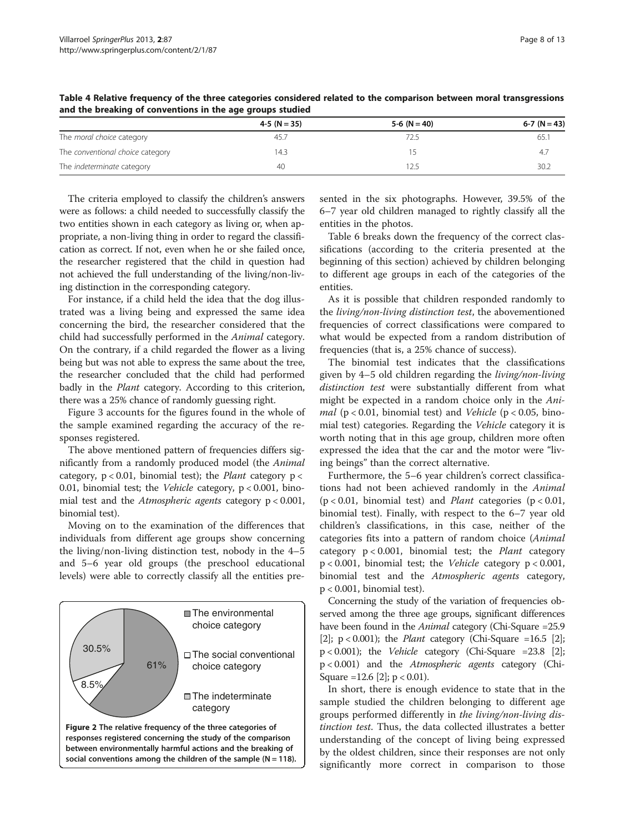|                                  | $4-5$ (N = 35) | 5-6 (N = 40) | 6-7 (N = 43) |
|----------------------------------|----------------|--------------|--------------|
| The moral choice category        | 45.7           | 72.5         | 65.1         |
| The conventional choice category | 14.3           |              | 4.7          |
| The indeterminate category       | 40             | 2.5          | 30.2         |

<span id="page-7-0"></span>Table 4 Relative frequency of the three categories considered related to the comparison between moral transgressions and the breaking of conventions in the age groups studied

The criteria employed to classify the children's answers were as follows: a child needed to successfully classify the two entities shown in each category as living or, when appropriate, a non-living thing in order to regard the classification as correct. If not, even when he or she failed once, the researcher registered that the child in question had not achieved the full understanding of the living/non-living distinction in the corresponding category.

For instance, if a child held the idea that the dog illustrated was a living being and expressed the same idea concerning the bird, the researcher considered that the child had successfully performed in the Animal category. On the contrary, if a child regarded the flower as a living being but was not able to express the same about the tree, the researcher concluded that the child had performed badly in the *Plant* category. According to this criterion, there was a 25% chance of randomly guessing right.

Figure [3](#page-8-0) accounts for the figures found in the whole of the sample examined regarding the accuracy of the responses registered.

The above mentioned pattern of frequencies differs significantly from a randomly produced model (the Animal category,  $p < 0.01$ , binomial test); the *Plant* category  $p <$ 0.01, binomial test; the *Vehicle* category,  $p < 0.001$ , binomial test and the Atmospheric agents category p < 0.001, binomial test).

Moving on to the examination of the differences that individuals from different age groups show concerning the living/non-living distinction test, nobody in the 4–5 and 5–6 year old groups (the preschool educational levels) were able to correctly classify all the entities pre-



sented in the six photographs. However, 39.5% of the 6–7 year old children managed to rightly classify all the entities in the photos.

Table [6](#page-9-0) breaks down the frequency of the correct classifications (according to the criteria presented at the beginning of this section) achieved by children belonging to different age groups in each of the categories of the entities.

As it is possible that children responded randomly to the living/non-living distinction test, the abovementioned frequencies of correct classifications were compared to what would be expected from a random distribution of frequencies (that is, a 25% chance of success).

The binomial test indicates that the classifications given by 4–5 old children regarding the living/non-living distinction test were substantially different from what might be expected in a random choice only in the Animal ( $p < 0.01$ , binomial test) and Vehicle ( $p < 0.05$ , binomial test) categories. Regarding the Vehicle category it is worth noting that in this age group, children more often expressed the idea that the car and the motor were "living beings" than the correct alternative.

Furthermore, the 5–6 year children's correct classifications had not been achieved randomly in the Animal  $(p < 0.01$ , binomial test) and *Plant* categories  $(p < 0.01$ , binomial test). Finally, with respect to the 6–7 year old children's classifications, in this case, neither of the categories fits into a pattern of random choice (Animal category  $p < 0.001$ , binomial test; the *Plant* category  $p < 0.001$ , binomial test; the *Vehicle* category  $p < 0.001$ , binomial test and the Atmospheric agents category, p < 0.001, binomial test).

Concerning the study of the variation of frequencies observed among the three age groups, significant differences have been found in the *Animal* category (Chi-Square =25.9) [2];  $p < 0.001$ ); the *Plant* category (Chi-Square =16.5 [2];  $p < 0.001$ ); the *Vehicle* category (Chi-Square =23.8 [2]; p < 0.001) and the Atmospheric agents category (Chi-Square =12.6 [2];  $p < 0.01$ ).

In short, there is enough evidence to state that in the sample studied the children belonging to different age groups performed differently in the living/non-living distinction test. Thus, the data collected illustrates a better understanding of the concept of living being expressed by the oldest children, since their responses are not only significantly more correct in comparison to those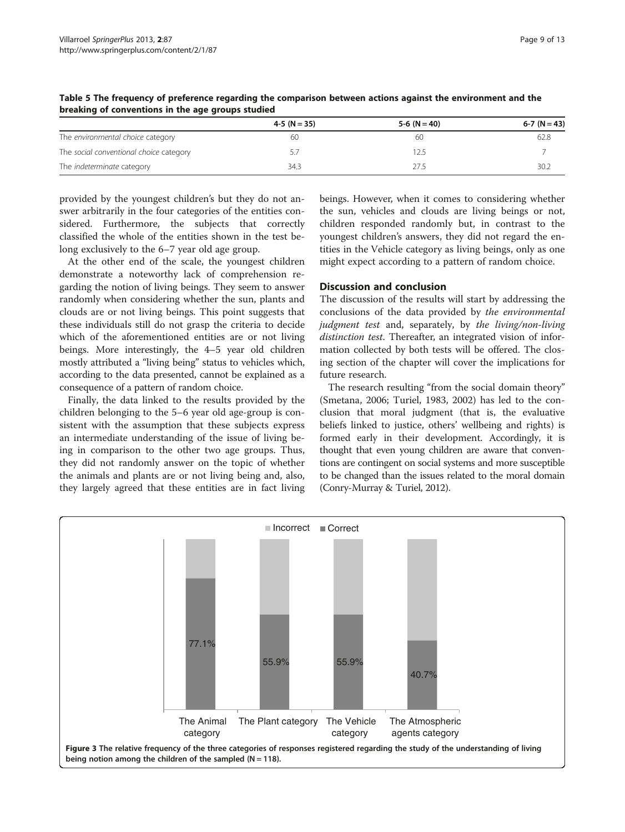|                                         | $4 - 5$ (N = 35) | 5-6 ( $N = 40$ ) | 6-7 (N = 43) |
|-----------------------------------------|------------------|------------------|--------------|
| The environmental choice category       | 60               | 60               | 62.8         |
| The social conventional choice category |                  | 2.5              |              |
| The <i>indeterminate</i> category       | 34.3             | 27.5             | 30.2         |

<span id="page-8-0"></span>Table 5 The frequency of preference regarding the comparison between actions against the environment and the breaking of conventions in the age groups studied

provided by the youngest children's but they do not answer arbitrarily in the four categories of the entities considered. Furthermore, the subjects that correctly classified the whole of the entities shown in the test belong exclusively to the 6–7 year old age group.

At the other end of the scale, the youngest children demonstrate a noteworthy lack of comprehension regarding the notion of living beings. They seem to answer randomly when considering whether the sun, plants and clouds are or not living beings. This point suggests that these individuals still do not grasp the criteria to decide which of the aforementioned entities are or not living beings. More interestingly, the 4–5 year old children mostly attributed a "living being" status to vehicles which, according to the data presented, cannot be explained as a consequence of a pattern of random choice.

Finally, the data linked to the results provided by the children belonging to the 5–6 year old age-group is consistent with the assumption that these subjects express an intermediate understanding of the issue of living being in comparison to the other two age groups. Thus, they did not randomly answer on the topic of whether the animals and plants are or not living being and, also, they largely agreed that these entities are in fact living

beings. However, when it comes to considering whether the sun, vehicles and clouds are living beings or not, children responded randomly but, in contrast to the youngest children's answers, they did not regard the entities in the Vehicle category as living beings, only as one might expect according to a pattern of random choice.

#### Discussion and conclusion

The discussion of the results will start by addressing the conclusions of the data provided by the environmental judgment test and, separately, by the living/non-living distinction test. Thereafter, an integrated vision of information collected by both tests will be offered. The closing section of the chapter will cover the implications for future research.

The research resulting "from the social domain theory" (Smetana, [2006;](#page-12-0) Turiel, [1983](#page-12-0), [2002\)](#page-12-0) has led to the conclusion that moral judgment (that is, the evaluative beliefs linked to justice, others' wellbeing and rights) is formed early in their development. Accordingly, it is thought that even young children are aware that conventions are contingent on social systems and more susceptible to be changed than the issues related to the moral domain (Conry-Murray & Turiel, [2012\)](#page-11-0).

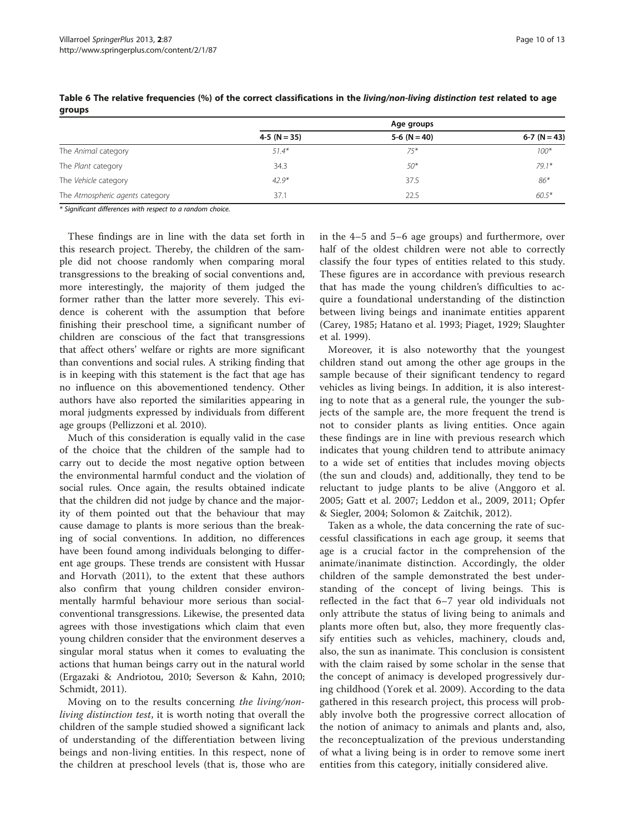|                                 | Age groups     |                  |                |
|---------------------------------|----------------|------------------|----------------|
|                                 | $4-5$ (N = 35) | 5-6 ( $N = 40$ ) | $6-7$ (N = 43) |
| The Animal category             | $51.4*$        | $75*$            | $100*$         |
| The Plant category              | 34.3           | $50*$            | $79.1*$        |
| The Vehicle category            | $42.9*$        | 37.5             | $86*$          |
| The Atmospheric agents category | 37.1           | 22.5             | $60.5*$        |

<span id="page-9-0"></span>Table 6 The relative frequencies (%) of the correct classifications in the living/non-living distinction test related to age groups

\* Significant differences with respect to a random choice.

These findings are in line with the data set forth in this research project. Thereby, the children of the sample did not choose randomly when comparing moral transgressions to the breaking of social conventions and, more interestingly, the majority of them judged the former rather than the latter more severely. This evidence is coherent with the assumption that before finishing their preschool time, a significant number of children are conscious of the fact that transgressions that affect others' welfare or rights are more significant than conventions and social rules. A striking finding that is in keeping with this statement is the fact that age has no influence on this abovementioned tendency. Other authors have also reported the similarities appearing in moral judgments expressed by individuals from different age groups (Pellizzoni et al. [2010\)](#page-11-0).

Much of this consideration is equally valid in the case of the choice that the children of the sample had to carry out to decide the most negative option between the environmental harmful conduct and the violation of social rules. Once again, the results obtained indicate that the children did not judge by chance and the majority of them pointed out that the behaviour that may cause damage to plants is more serious than the breaking of social conventions. In addition, no differences have been found among individuals belonging to different age groups. These trends are consistent with Hussar and Horvath ([2011](#page-11-0)), to the extent that these authors also confirm that young children consider environmentally harmful behaviour more serious than socialconventional transgressions. Likewise, the presented data agrees with those investigations which claim that even young children consider that the environment deserves a singular moral status when it comes to evaluating the actions that human beings carry out in the natural world (Ergazaki & Andriotou, [2010](#page-11-0); Severson & Kahn, [2010](#page-12-0); Schmidt, [2011](#page-12-0)).

Moving on to the results concerning the living/nonliving distinction test, it is worth noting that overall the children of the sample studied showed a significant lack of understanding of the differentiation between living beings and non-living entities. In this respect, none of the children at preschool levels (that is, those who are in the 4–5 and 5–6 age groups) and furthermore, over half of the oldest children were not able to correctly classify the four types of entities related to this study. These figures are in accordance with previous research that has made the young children's difficulties to acquire a foundational understanding of the distinction between living beings and inanimate entities apparent (Carey, [1985](#page-11-0); Hatano et al. [1993;](#page-11-0) Piaget, [1929](#page-11-0); Slaughter et al. [1999\)](#page-11-0).

Moreover, it is also noteworthy that the youngest children stand out among the other age groups in the sample because of their significant tendency to regard vehicles as living beings. In addition, it is also interesting to note that as a general rule, the younger the subjects of the sample are, the more frequent the trend is not to consider plants as living entities. Once again these findings are in line with previous research which indicates that young children tend to attribute animacy to a wide set of entities that includes moving objects (the sun and clouds) and, additionally, they tend to be reluctant to judge plants to be alive (Anggoro et al. [2005;](#page-11-0) Gatt et al. [2007](#page-11-0); Leddon et al., [2009, 2011;](#page-11-0) Opfer & Siegler, [2004](#page-11-0); Solomon & Zaitchik, [2012\)](#page-12-0).

Taken as a whole, the data concerning the rate of successful classifications in each age group, it seems that age is a crucial factor in the comprehension of the animate/inanimate distinction. Accordingly, the older children of the sample demonstrated the best understanding of the concept of living beings. This is reflected in the fact that 6–7 year old individuals not only attribute the status of living being to animals and plants more often but, also, they more frequently classify entities such as vehicles, machinery, clouds and, also, the sun as inanimate. This conclusion is consistent with the claim raised by some scholar in the sense that the concept of animacy is developed progressively during childhood (Yorek et al. [2009](#page-12-0)). According to the data gathered in this research project, this process will probably involve both the progressive correct allocation of the notion of animacy to animals and plants and, also, the reconceptualization of the previous understanding of what a living being is in order to remove some inert entities from this category, initially considered alive.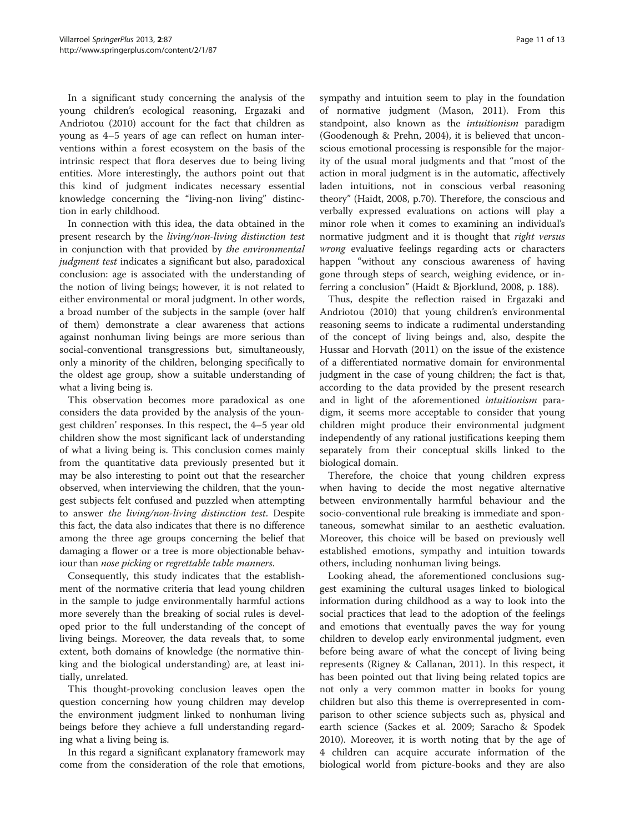In a significant study concerning the analysis of the young children's ecological reasoning, Ergazaki and Andriotou ([2010\)](#page-11-0) account for the fact that children as young as 4–5 years of age can reflect on human interventions within a forest ecosystem on the basis of the intrinsic respect that flora deserves due to being living entities. More interestingly, the authors point out that this kind of judgment indicates necessary essential knowledge concerning the "living-non living" distinction in early childhood.

In connection with this idea, the data obtained in the present research by the living/non-living distinction test in conjunction with that provided by the environmental judgment test indicates a significant but also, paradoxical conclusion: age is associated with the understanding of the notion of living beings; however, it is not related to either environmental or moral judgment. In other words, a broad number of the subjects in the sample (over half of them) demonstrate a clear awareness that actions against nonhuman living beings are more serious than social-conventional transgressions but, simultaneously, only a minority of the children, belonging specifically to the oldest age group, show a suitable understanding of what a living being is.

This observation becomes more paradoxical as one considers the data provided by the analysis of the youngest children' responses. In this respect, the 4–5 year old children show the most significant lack of understanding of what a living being is. This conclusion comes mainly from the quantitative data previously presented but it may be also interesting to point out that the researcher observed, when interviewing the children, that the youngest subjects felt confused and puzzled when attempting to answer the living/non-living distinction test. Despite this fact, the data also indicates that there is no difference among the three age groups concerning the belief that damaging a flower or a tree is more objectionable behaviour than nose picking or regrettable table manners.

Consequently, this study indicates that the establishment of the normative criteria that lead young children in the sample to judge environmentally harmful actions more severely than the breaking of social rules is developed prior to the full understanding of the concept of living beings. Moreover, the data reveals that, to some extent, both domains of knowledge (the normative thinking and the biological understanding) are, at least initially, unrelated.

This thought-provoking conclusion leaves open the question concerning how young children may develop the environment judgment linked to nonhuman living beings before they achieve a full understanding regarding what a living being is.

In this regard a significant explanatory framework may come from the consideration of the role that emotions,

sympathy and intuition seem to play in the foundation of normative judgment (Mason, [2011\)](#page-11-0). From this standpoint, also known as the *intuitionism* paradigm (Goodenough & Prehn, [2004\)](#page-11-0), it is believed that unconscious emotional processing is responsible for the majority of the usual moral judgments and that "most of the action in moral judgment is in the automatic, affectively laden intuitions, not in conscious verbal reasoning theory" (Haidt, [2008](#page-11-0), p.70). Therefore, the conscious and verbally expressed evaluations on actions will play a minor role when it comes to examining an individual's normative judgment and it is thought that right versus wrong evaluative feelings regarding acts or characters happen "without any conscious awareness of having gone through steps of search, weighing evidence, or inferring a conclusion" (Haidt & Bjorklund, [2008](#page-11-0), p. 188).

Thus, despite the reflection raised in Ergazaki and Andriotou ([2010](#page-11-0)) that young children's environmental reasoning seems to indicate a rudimental understanding of the concept of living beings and, also, despite the Hussar and Horvath [\(2011\)](#page-11-0) on the issue of the existence of a differentiated normative domain for environmental judgment in the case of young children; the fact is that, according to the data provided by the present research and in light of the aforementioned intuitionism paradigm, it seems more acceptable to consider that young children might produce their environmental judgment independently of any rational justifications keeping them separately from their conceptual skills linked to the biological domain.

Therefore, the choice that young children express when having to decide the most negative alternative between environmentally harmful behaviour and the socio-conventional rule breaking is immediate and spontaneous, somewhat similar to an aesthetic evaluation. Moreover, this choice will be based on previously well established emotions, sympathy and intuition towards others, including nonhuman living beings.

Looking ahead, the aforementioned conclusions suggest examining the cultural usages linked to biological information during childhood as a way to look into the social practices that lead to the adoption of the feelings and emotions that eventually paves the way for young children to develop early environmental judgment, even before being aware of what the concept of living being represents (Rigney & Callanan, [2011](#page-11-0)). In this respect, it has been pointed out that living being related topics are not only a very common matter in books for young children but also this theme is overrepresented in comparison to other science subjects such as, physical and earth science (Sackes et al. [2009;](#page-11-0) Saracho & Spodek [2010](#page-11-0)). Moreover, it is worth noting that by the age of 4 children can acquire accurate information of the biological world from picture-books and they are also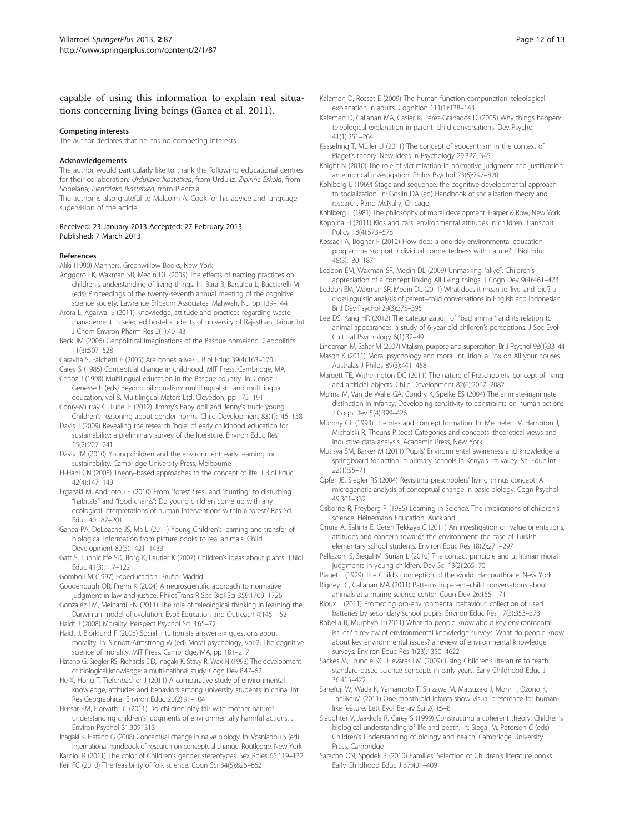#### <span id="page-11-0"></span>capable of using this information to explain real situations concerning living beings (Ganea et al. 2011).

#### Competing interests

The author declares that he has no competing interests.

#### Acknowledgements

The author would particularly like to thank the following educational centres for their collaboration: Urdulizko Ikastetxea, from Urduliz, Zipiriñe Eskola, from Sopelana; Plentziako Ikastetxea, from Plentzia.

The author is also grateful to Malcolm A. Cook for his advice and language supervision of the article.

#### Received: 23 January 2013 Accepted: 27 February 2013 Published: 7 March 2013

#### References

- Aliki (1990) Manners. Greenwillow Books, New York
- Anggoro FK, Waxman SR, Medin DL (2005) The effects of naming practices on children's understanding of living things. In: Bara B, Barsalou L, Bucciarelli M (eds) Proceedings of the twenty-seventh annual meeting of the cognitive science society. Lawrence Erlbaum Associates, Mahwah, NJ, pp 139–144

Arora L, Agarwal S (2011) Knowledge, attitude and practices regarding waste management in selected hostel students of university of Rajasthan, Jaipur. Int J Chem Environ Pharm Res 2(1):40–43

- Beck JM (2006) Geopolitical imaginations of the Basque homeland. Geopolitics 11(3):507–528
- Caravita S, Falchetti E (2005) Are bones alive? J Biol Educ 39(4):163–170
- Carey S (1985) Conceptual change in childhood. MIT Press, Cambridge, MA

Cenoz J (1998) Multilingual education in the Basque country. In: Cenoz J, Genesse F (eds) Beyond bilingualism: multilingualism and multilingual education, vol 8. Multilingual Maters Ltd, Clevedon, pp 175–191

Conry-Murray C, Turiel E (2012) Jimmy's Baby doll and Jenny's truck: young Children's reasoning about gender norms. Child Development 83(1):146–158

- Davis J (2009) Revealing the research 'hole' of early childhood education for sustainability: a preliminary survey of the literature. Environ Educ Res 15(2):227–241
- Davis JM (2010) Young children and the environment: early learning for sustainability. Cambridge University Press, Melbourne
- El-Hani CN (2008) Theory-based approaches to the concept of life. J Biol Educ 42(4):147–149

Ergazaki M, Andriotou E (2010) From "forest fires" and "hunting" to disturbing "habitats" and "food chains": Do young children come up with any ecological interpretations of human interventions within a forest? Res Sci Educ 40:187–201

Ganea PA, DeLoache JS, Ma L (2011) Young Children's learning and transfer of biological information from picture books to real animals. Child Development 82(5):1421–1433

Gatt S, Tunnicliffe SD, Borg K, Lautier K (2007) Children's Ideas about plants. J Biol Educ 41(3):117–122

Gomboli M (1997) Ecoeducación. Bruño, Madrid

Goodenough OR, Prehn K (2004) A neuroscientific approach to normative judgment in law and justice. PhilosTrans R Soc Biol Sci 359:1709–1726

González LM, Meinardi EN (2011) The role of teleological thinking in learning the Darwinian model of evolution. Evol: Education and Outreach 4:145–152 Haidt J (2008) Morality. Perspect Psychol Sci 3:65–72

Haidt J, Bjorklund F (2008) Social intuitionists answer six questions about morality. In: Sinnott-Armstrong W (ed) Moral psychology, vol 2, The cognitive science of morality. MIT Press, Cambridge, MA, pp 181–217

Hatano G, Siegler RS, Richards DD, Inagaki K, Stavy R, Wax N (1993) The development of biological knowledge: a multi-national study. Cogn Dev 8:47–62

He X, Hong T, Tiefenbacher J (2011) A comparative study of environmental knowledge, attitudes and behaviors among university students in china. Int Res Geographical Environ Educ 20(2):91–104

Hussar KM, Horvath JC (2011) Do children play fair with mother nature? understanding children's judgments of environmentally harmful actions. J Environ Psychol 31:309–313

Inagaki K, Hatano G (2008) Conceptual change in naive biology. In: Vosniadou S (ed) International handbook of research on conceptual change. Routledge, New York

Karniol R (2011) The color of Children's gender stereotypes. Sex Roles 65:119–132 Keil FC (2010) The feasibility of folk science. Cogn Sci 34(5):826–862

- Kelemen D, Rosset E (2009) The human function compunction: teleological explanation in adults. Cognition 111(1):138–143
- Kelemen D, Callanan MA, Casler K, Pérez-Granados D (2005) Why things happen: teleological explanation in parent–child conversations. Dev Psychol 41(1):251–264
- Kesselring T, Müller U (2011) The concept of egocentrism in the context of Piaget's theory. New Ideas in Psychology 29:327–345

Knight N (2010) The role of victimization in normative judgment and justification: an empirical investigation. Philos Psychol 23(6):797–820

Kohlberg L (1969) Stage and sequence: the cognitive-developmental approach to socialization. In: Goslin DA (ed) Handbook of socialization theory and research. Rand McNally, Chicago

Kohlberg L (1981) The philosophy of moral development. Harper & Row, New York Kopnina H (2011) Kids and cars: environmental attitudes in children. Transport

Policy 18(4):573–578 Kossack A, Bogner F (2012) How does a one-day environmental education programme support individual connectedness with nature? J Biol Educ 48(3):180–187

Leddon EM, Waxman SR, Medin DL (2009) Unmasking "alive": Children's appreciation of a concept linking All living things. J Cogn Dev 9(4):461–473

Leddon EM, Waxman SR, Medin DL (2011) What does it mean to 'live' and 'die'? a crosslinguistic analysis of parent–child conversations in English and Indonesian. Br J Dev Psychol 29(3):375–395

Lee DS, Kang HR (2012) The categorization of "bad animal" and its relation to animal appearances: a study of 6-year-old children's perceptions. J Soc Evol Cultural Psychology 6(1):32–49

Lindeman M, Saher M (2007) Vitalism, purpose and superstition. Br J Psychol 98(1):33–44 Mason K (2011) Moral psychology and moral intuition: a Pox on All your houses.

Australas J Philos 89(3):441–458 Margett TE, Witherington DC (2011) The nature of Preschoolers' concept of living

and artificial objects. Child Development 82(6):2067–2082

Molina M, Van de Walle GA, Condry K, Spelke ES (2004) The animate-inanimate distinction in infancy: Developing sensitivity to constraints on human actions. J Cogn Dev 5(4):399–426

Murphy GL (1993) Theories and concept formation. In: Mechelen IV, Hampton J, Michalski R, Theuns P (eds) Categories and concepts: theoretical views and inductive data analysis. Academic Press, New York

Mutisya SM, Barker M (2011) Pupils' Environmental awareness and knowledge: a springboard for action in primary schools in Kenya's rift valley. Sci Educ Int 22(1):55–71

Opfer JE, Siegler RS (2004) Revisiting preschoolers' living things concept: A microgenetic analysis of conceptual change in basic biology. Cogn Psychol 49:301–332

Osborne R, Freyberg P (1985) Learning in Science. The implications of children's science. Heinemann Education, Auckland

Onura A, Sahina E, Ceren Tekkaya C (2011) An investigation on value orientations, attitudes and concern towards the environment: the case of Turkish elementary school students. Environ Educ Res 18(2):271–297

Pellizzoni S, Siegal M, Surian L (2010) The contact principle and utilitarian moral judgments in young children. Dev Sci 13(2):265–70

Piaget J (1929) The Child's conception of the world. HarcourtBrace, New York Rigney JC, Callanan MA (2011) Patterns in parent–child conversations about

animals at a marine science center. Cogn Dev 26:155–171

Rioux L (2011) Promoting pro-environmental behaviour: collection of used batteries by secondary school pupils. Environ Educ Res 17(3):353–373

Robelia B, Murphyb T (2011) What do people know about key environmental issues? a review of environmental knowledge surveys. What do people know about key environmental issues? a review of environmental knowledge surveys. Environ Educ Res 1(23):1350–4622

Sackes M, Trundle KC, Flevares LM (2009) Using Children's literature to teach standard-based science concepts in early years. Early Childhood Educ J 36:415–422

Sanefuji W, Wada K, Yamamoto T, Shizawa M, Matsuzaki J, Mohri I, Ozono K, Taniike M (2011) One-month-old infants show visual preference for humanlike feature. Lett Evol Behav Sci 2(1):5–8

Slaughter V, Jaakkola R, Carey S (1999) Constructing a coherent theory: Children's biological understanding of life and death. In: Siegal M, Peterson C (eds) Children's Understanding of biology and health. Cambridge University Press, Cambridge

Saracho ON, Spodek B (2010) Families' Selection of Children's literature books. Early Childhood Educ J 37:401–409